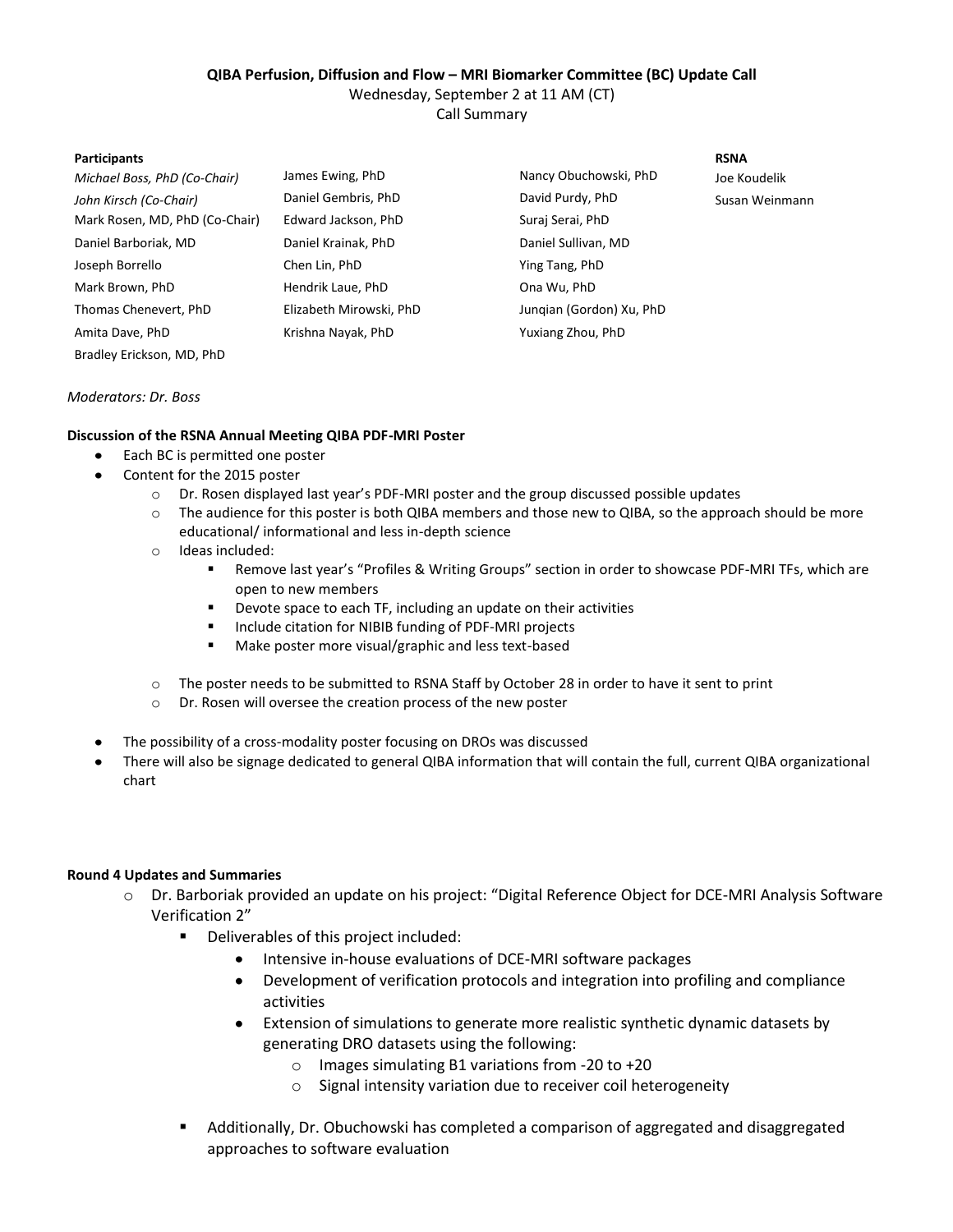### **QIBA Perfusion, Diffusion and Flow – MRI Biomarker Committee (BC) Update Call**

Wednesday, September 2 at 11 AM (CT)

Call Summary

#### **Participants RSNA**

| Michael Boss, PhD (Co-Chair)   | James Ewing, PhD        | Nancy Obuchowski, PhD    | Joe Koudelik   |
|--------------------------------|-------------------------|--------------------------|----------------|
| John Kirsch (Co-Chair)         | Daniel Gembris, PhD     | David Purdy, PhD         | Susan Weinmann |
| Mark Rosen, MD, PhD (Co-Chair) | Edward Jackson, PhD     | Suraj Serai, PhD         |                |
| Daniel Barboriak, MD           | Daniel Krainak, PhD     | Daniel Sullivan, MD      |                |
| Joseph Borrello                | Chen Lin, PhD           | Ying Tang, PhD           |                |
| Mark Brown, PhD                | Hendrik Laue, PhD       | Ona Wu, PhD              |                |
| Thomas Chenevert, PhD          | Elizabeth Mirowski, PhD | Jungian (Gordon) Xu, PhD |                |
| Amita Dave, PhD                | Krishna Nayak, PhD      | Yuxiang Zhou, PhD        |                |
|                                |                         |                          |                |

### *Moderators: Dr. Boss*

Bradley Erickson, MD, PhD

# **Discussion of the RSNA Annual Meeting QIBA PDF-MRI Poster**

- Each BC is permitted one poster  $\bullet$
- Content for the 2015 poster
	- o Dr. Rosen displayed last year's PDF-MRI poster and the group discussed possible updates
	- o The audience for this poster is both QIBA members and those new to QIBA, so the approach should be more educational/ informational and less in-depth science
	- o Ideas included:
		- Remove last year's "Profiles & Writing Groups" section in order to showcase PDF-MRI TFs, which are open to new members
		- **Devote space to each TF, including an update on their activities**
		- **Include citation for NIBIB funding of PDF-MRI projects**
		- **Make poster more visual/graphic and less text-based**
	- o The poster needs to be submitted to RSNA Staff by October 28 in order to have it sent to print
	- o Dr. Rosen will oversee the creation process of the new poster
- The possibility of a cross-modality poster focusing on DROs was discussed
- $\bullet$ There will also be signage dedicated to general QIBA information that will contain the full, current QIBA organizational chart

# **Round 4 Updates and Summaries**

- o Dr. Barboriak provided an update on his project: "Digital Reference Object for DCE-MRI Analysis Software Verification 2"
	- Deliverables of this project included:
		- Intensive in-house evaluations of DCE-MRI software packages
		- Development of verification protocols and integration into profiling and compliance  $\bullet$ activities
		- Extension of simulations to generate more realistic synthetic dynamic datasets by generating DRO datasets using the following:
			- o Images simulating B1 variations from -20 to +20
			- o Signal intensity variation due to receiver coil heterogeneity
	- Additionally, Dr. Obuchowski has completed a comparison of aggregated and disaggregated approaches to software evaluation